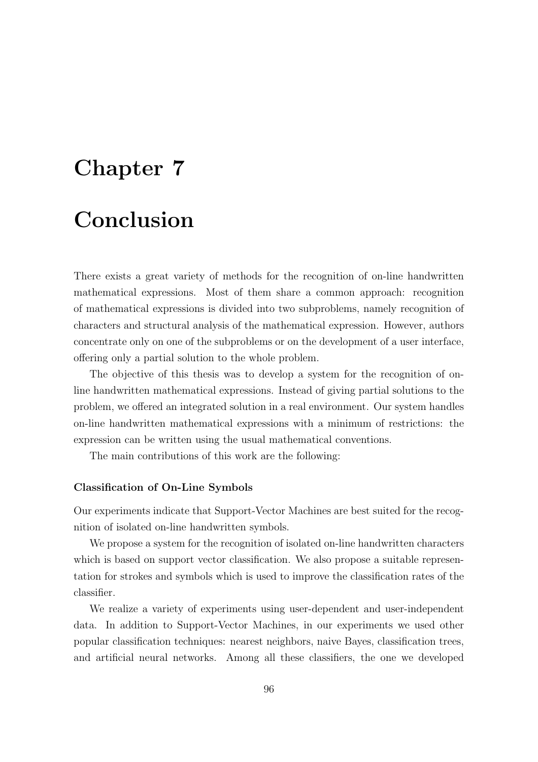# Chapter 7 Conclusion

There exists a great variety of methods for the recognition of on-line handwritten mathematical expressions. Most of them share a common approach: recognition of mathematical expressions is divided into two subproblems, namely recognition of characters and structural analysis of the mathematical expression. However, authors concentrate only on one of the subproblems or on the development of a user interface, offering only a partial solution to the whole problem.

The objective of this thesis was to develop a system for the recognition of online handwritten mathematical expressions. Instead of giving partial solutions to the problem, we offered an integrated solution in a real environment. Our system handles on-line handwritten mathematical expressions with a minimum of restrictions: the expression can be written using the usual mathematical conventions.

The main contributions of this work are the following:

## Classification of On-Line Symbols

Our experiments indicate that Support-Vector Machines are best suited for the recognition of isolated on-line handwritten symbols.

We propose a system for the recognition of isolated on-line handwritten characters which is based on support vector classification. We also propose a suitable representation for strokes and symbols which is used to improve the classification rates of the classifier.

We realize a variety of experiments using user-dependent and user-independent data. In addition to Support-Vector Machines, in our experiments we used other popular classification techniques: nearest neighbors, naive Bayes, classification trees, and artificial neural networks. Among all these classifiers, the one we developed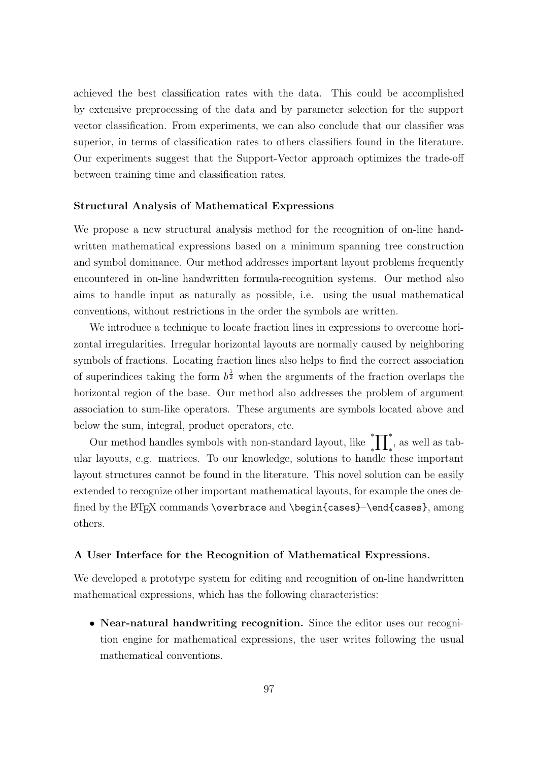achieved the best classification rates with the data. This could be accomplished by extensive preprocessing of the data and by parameter selection for the support vector classification. From experiments, we can also conclude that our classifier was superior, in terms of classification rates to others classifiers found in the literature. Our experiments suggest that the Support-Vector approach optimizes the trade-off between training time and classification rates.

#### Structural Analysis of Mathematical Expressions

We propose a new structural analysis method for the recognition of on-line handwritten mathematical expressions based on a minimum spanning tree construction and symbol dominance. Our method addresses important layout problems frequently encountered in on-line handwritten formula-recognition systems. Our method also aims to handle input as naturally as possible, i.e. using the usual mathematical conventions, without restrictions in the order the symbols are written.

We introduce a technique to locate fraction lines in expressions to overcome horizontal irregularities. Irregular horizontal layouts are normally caused by neighboring symbols of fractions. Locating fraction lines also helps to find the correct association of superindices taking the form  $b^{\frac{1}{2}}$  when the arguments of the fraction overlaps the horizontal region of the base. Our method also addresses the problem of argument association to sum-like operators. These arguments are symbols located above and below the sum, integral, product operators, etc.

Our method handles symbols with non-standard layout, like ∗  $_{*}^{*}\prod_{*}^{*}$ , as well as tabular layouts, e.g. matrices. To our knowledge, solutions to handle these important layout structures cannot be found in the literature. This novel solution can be easily extended to recognize other important mathematical layouts, for example the ones defined by the LATEX commands \overbrace and \begin{cases}-\end{cases}, among others.

## A User Interface for the Recognition of Mathematical Expressions.

We developed a prototype system for editing and recognition of on-line handwritten mathematical expressions, which has the following characteristics:

• Near-natural handwriting recognition. Since the editor uses our recognition engine for mathematical expressions, the user writes following the usual mathematical conventions.